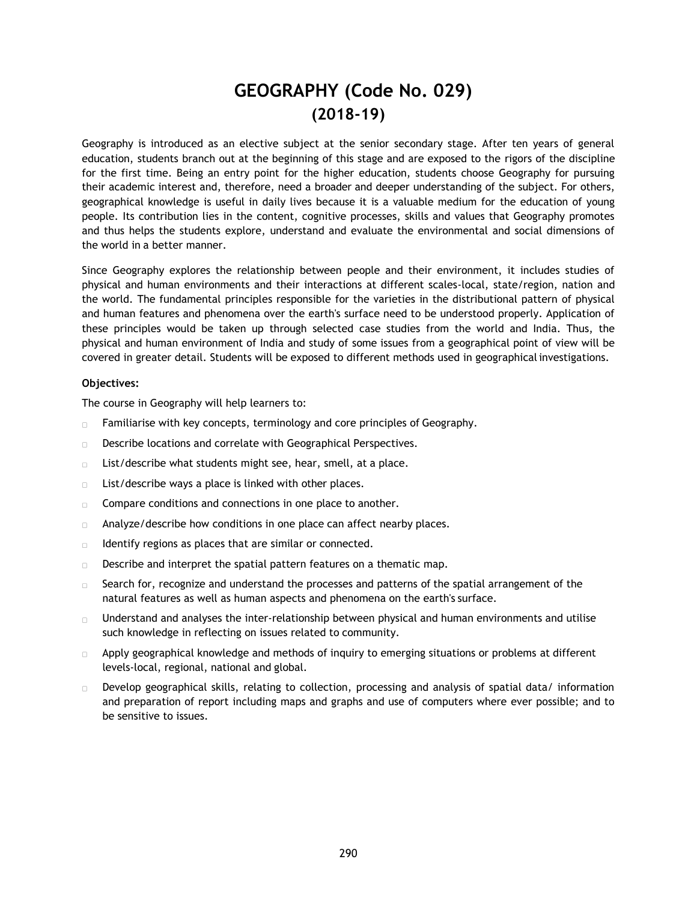# **GEOGRAPHY (Code No. 029) (2018-19)**

Geography is introduced as an elective subject at the senior secondary stage. After ten years of general education, students branch out at the beginning of this stage and are exposed to the rigors of the discipline for the first time. Being an entry point for the higher education, students choose Geography for pursuing their academic interest and, therefore, need a broader and deeper understanding of the subject. For others, geographical knowledge is useful in daily lives because it is a valuable medium for the education of young people. Its contribution lies in the content, cognitive processes, skills and values that Geography promotes and thus helps the students explore, understand and evaluate the environmental and social dimensions of the world in a better manner.

Since Geography explores the relationship between people and their environment, it includes studies of physical and human environments and their interactions at different scales-local, state/region, nation and the world. The fundamental principles responsible for the varieties in the distributional pattern of physical and human features and phenomena over the earth's surface need to be understood properly. Application of these principles would be taken up through selected case studies from the world and India. Thus, the physical and human environment of India and study of some issues from a geographical point of view will be covered in greater detail. Students will be exposed to different methods used in geographical investigations.

#### **Objectives:**

The course in Geography will help learners to:

- Familiarise with key concepts, terminology and core principles of Geography.  $\Box$
- Describe locations and correlate with Geographical Perspectives.  $\Box$
- List/describe what students might see, hear, smell, at a place.  $\Box$
- List/describe ways a place is linked with other places.  $\Box$
- Compare conditions and connections in one place to another.  $\Box$
- Analyze/describe how conditions in one place can affect nearby places.  $\Box$
- Identify regions as places that are similar or connected.  $\Box$
- Describe and interpret the spatial pattern features on a thematic map.  $\Box$
- Search for, recognize and understand the processes and patterns of the spatial arrangement of the  $\Box$ natural features as well as human aspects and phenomena on the earth's surface.
- Understand and analyses the inter-relationship between physical and human environments and utilise  $\Box$ such knowledge in reflecting on issues related to community.
- Apply geographical knowledge and methods of inquiry to emerging situations or problems at different  $\Box$ levels-local, regional, national and global.
- Develop geographical skills, relating to collection, processing and analysis of spatial data/ information  $\Box$ and preparation of report including maps and graphs and use of computers where ever possible; and to be sensitive to issues.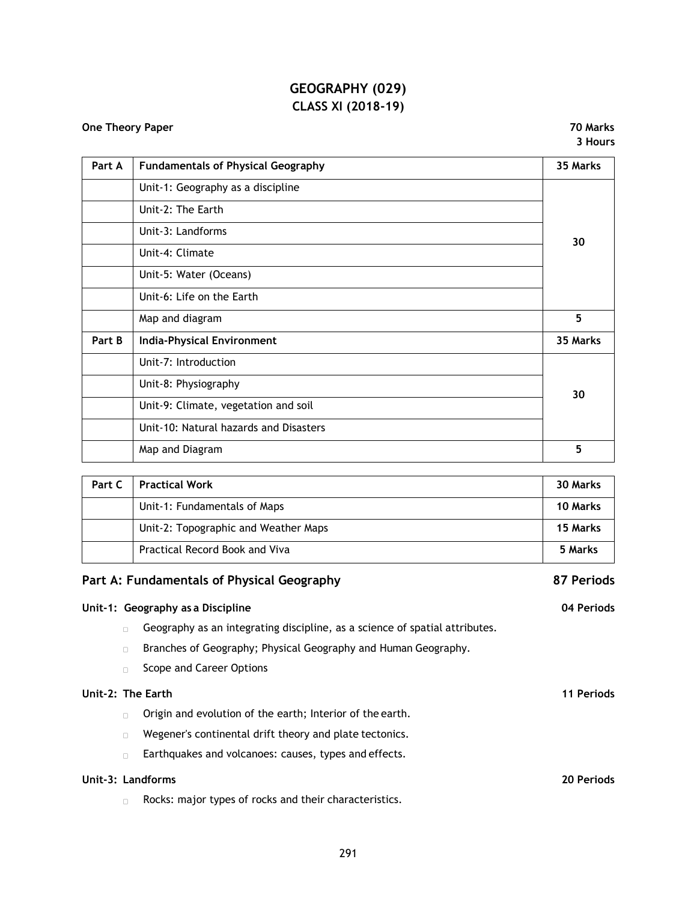# **GEOGRAPHY (029) CLASS XI (2018-19)**

## **One Theory Paper 70 Marks**

**3 Hours**

| Part A | <b>Fundamentals of Physical Geography</b> | 35 Marks |  |
|--------|-------------------------------------------|----------|--|
|        | Unit-1: Geography as a discipline         |          |  |
|        | Unit-2: The Earth                         |          |  |
|        | Unit-3: Landforms                         | 30       |  |
|        | Unit-4: Climate                           |          |  |
|        | Unit-5: Water (Oceans)                    |          |  |
|        | Unit-6: Life on the Earth                 |          |  |
|        | Map and diagram                           | 5        |  |
| Part B | <b>India-Physical Environment</b>         | 35 Marks |  |
|        | Unit-7: Introduction                      |          |  |
|        | Unit-8: Physiography                      | 30       |  |
|        | Unit-9: Climate, vegetation and soil      |          |  |
|        | Unit-10: Natural hazards and Disasters    |          |  |
|        | Map and Diagram                           | 5        |  |
|        |                                           |          |  |

| Part C | <b>Practical Work</b>                 | 30 Marks        |
|--------|---------------------------------------|-----------------|
|        | Unit-1: Fundamentals of Maps          | <b>10 Marks</b> |
|        | Unit-2: Topographic and Weather Maps  | 15 Marks        |
|        | <b>Practical Record Book and Viva</b> | 5 Marks         |

# **Part A: Fundamentals of Physical Geography 87 Periods**

|        |                                                                             | 04 Periods                                                                  |
|--------|-----------------------------------------------------------------------------|-----------------------------------------------------------------------------|
| $\Box$ | Geography as an integrating discipline, as a science of spatial attributes. |                                                                             |
| $\Box$ | Branches of Geography; Physical Geography and Human Geography.              |                                                                             |
| $\Box$ | Scope and Career Options                                                    |                                                                             |
|        |                                                                             | 11 Periods                                                                  |
| $\Box$ | Origin and evolution of the earth; Interior of the earth.                   |                                                                             |
| $\Box$ | Wegener's continental drift theory and plate tectonics.                     |                                                                             |
| $\Box$ | Earthquakes and volcanoes: causes, types and effects.                       |                                                                             |
|        |                                                                             | 20 Periods                                                                  |
|        |                                                                             | Unit-1: Geography as a Discipline<br>Unit-2: The Earth<br>Unit-3: Landforms |

Rocks: major types of rocks and their characteristics.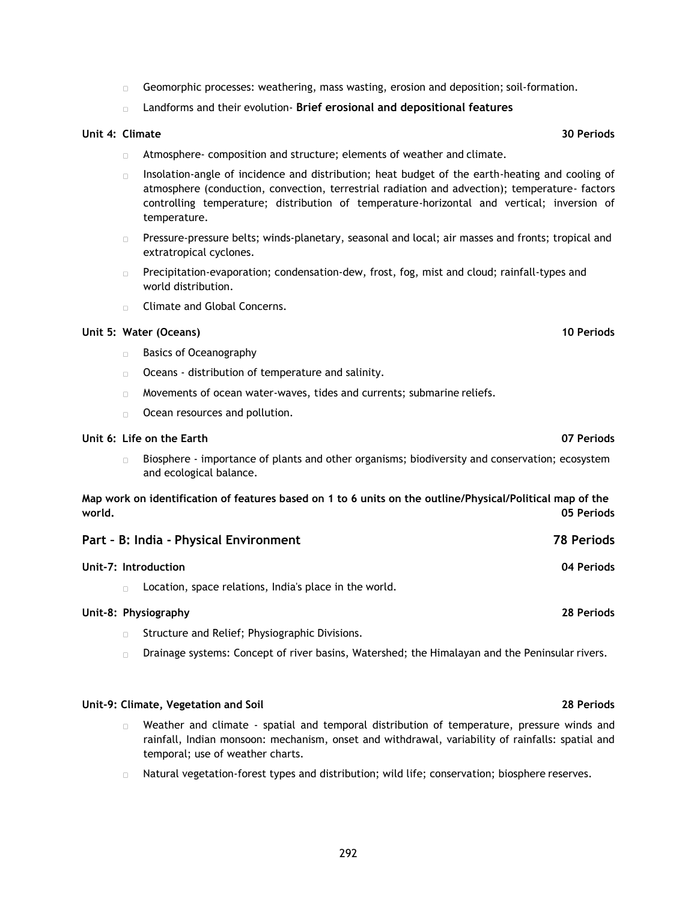- Geomorphic processes: weathering, mass wasting, erosion and deposition; soil-formation.  $\Box$
- Landforms and their evolution- **Brief erosional and depositional features**

### **Unit 4: Climate 30 Periods**

- Atmosphere- composition and structure; elements of weather and climate.  $\Box$
- Insolation-angle of incidence and distribution; heat budget of the earth-heating and cooling of  $\Box$ atmosphere (conduction, convection, terrestrial radiation and advection); temperature- factors controlling temperature; distribution of temperature-horizontal and vertical; inversion of temperature.
- Pressure-pressure belts; winds-planetary, seasonal and local; air masses and fronts; tropical and  $\Box$  . extratropical cyclones.
- $\Box$ Precipitation-evaporation; condensation-dew, frost, fog, mist and cloud; rainfall-types and world distribution.
- **Climate and Global Concerns.**

## **Unit 5: Water (Oceans) 10 Periods**

- Basics of Oceanography
- Oceans distribution of temperature and salinity.
- $\Box$  Movements of ocean water-waves, tides and currents; submarine reliefs.
- Ocean resources and pollution.  $\Box$  .

#### **Unit 6: Life on the Earth 07 Periods**

 $\mathbb{R}$ Biosphere - importance of plants and other organisms; biodiversity and conservation; ecosystem and ecological balance.

**Map work on identification of features based on 1 to 6 units on the outline/Physical/Political map of the world. 05 Periods**

| Part - B: India - Physical Environment                           | <b>78 Periods</b> |
|------------------------------------------------------------------|-------------------|
| Unit-7: Introduction                                             | 04 Periods        |
| Location, space relations, India's place in the world.<br>$\Box$ |                   |
| Unit-8: Physiography                                             | 28 Periods        |
| Structure and Relief; Physiographic Divisions.<br>$\Box$         |                   |

Drainage systems: Concept of river basins, Watershed; the Himalayan and the Peninsular rivers.  $\Box$ 

#### **Unit-9: Climate, Vegetation and Soil 28 Periods**

- Weather and climate spatial and temporal distribution of temperature, pressure winds and  $\Box$ rainfall, Indian monsoon: mechanism, onset and withdrawal, variability of rainfalls: spatial and temporal; use of weather charts.
- Natural vegetation-forest types and distribution; wild life; conservation; biosphere reserves. $\Box$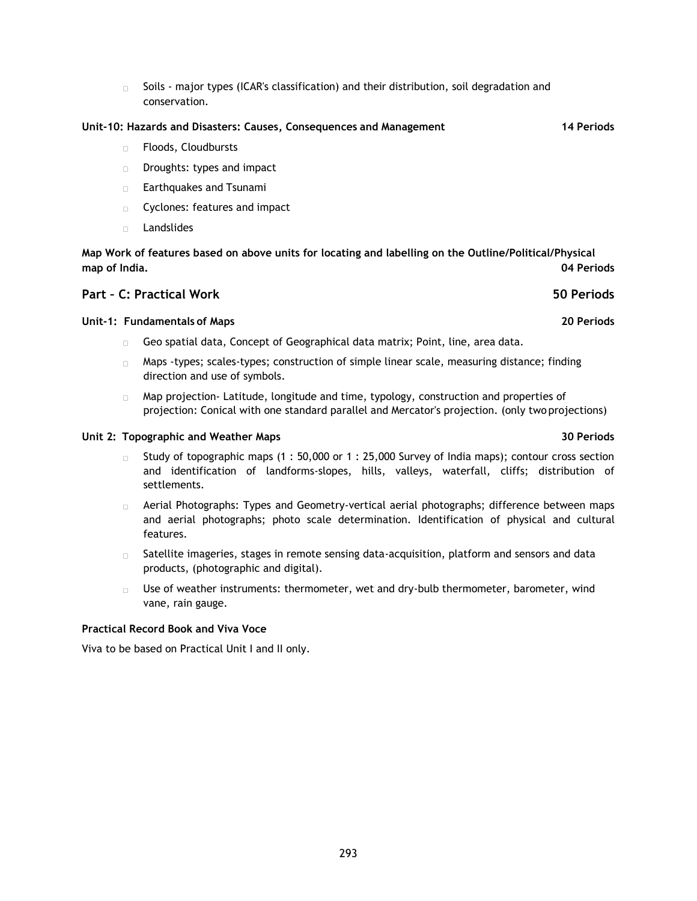Soils - major types (ICAR's classification) and their distribution, soil degradation and  $\mathbf{u}$ conservation.

#### **Unit-10: Hazards and Disasters: Causes, Consequences and Management 14 Periods**

- $\mathbf{u}$ Floods, Cloudbursts
- Droughts: types and impact  $\Box$
- Earthquakes and Tsunami  $\Box$
- Cyclones: features and impact  $\Box$
- Landslides  $\Box$

**Map Work of features based on above units for locating and labelling on the Outline/Political/Physical map of India. 04 Periods**

## **Part – C: Practical Work 50 Periods**

### **Unit-1: Fundamentals of Maps 20 Periods**

- Geo spatial data, Concept of Geographical data matrix; Point, line, area data.  $\Box$
- $\Box$  Maps -types; scales-types; construction of simple linear scale, measuring distance; finding direction and use of symbols.
- Map projection- Latitude, longitude and time, typology, construction and properties of  $\Box$ projection: Conical with one standard parallel and Mercator's projection. (only two projections)

#### **Unit 2: Topographic and Weather Maps 30 Periods**

- Study of topographic maps (1 : 50,000 or 1 : 25,000 Survey of India maps); contour cross section  $\Box$  . and identification of landforms-slopes, hills, valleys, waterfall, cliffs; distribution of settlements.
- Aerial Photographs: Types and Geometry-vertical aerial photographs; difference between maps  $\Box$ and aerial photographs; photo scale determination. Identification of physical and cultural features.
- Satellite imageries, stages in remote sensing data-acquisition, platform and sensors and data  $\Box$ products, (photographic and digital).
- Use of weather instruments: thermometer, wet and dry-bulb thermometer, barometer, wind  $\Box$ vane, rain gauge.

### **Practical Record Book and Viva Voce**

Viva to be based on Practical Unit I and II only.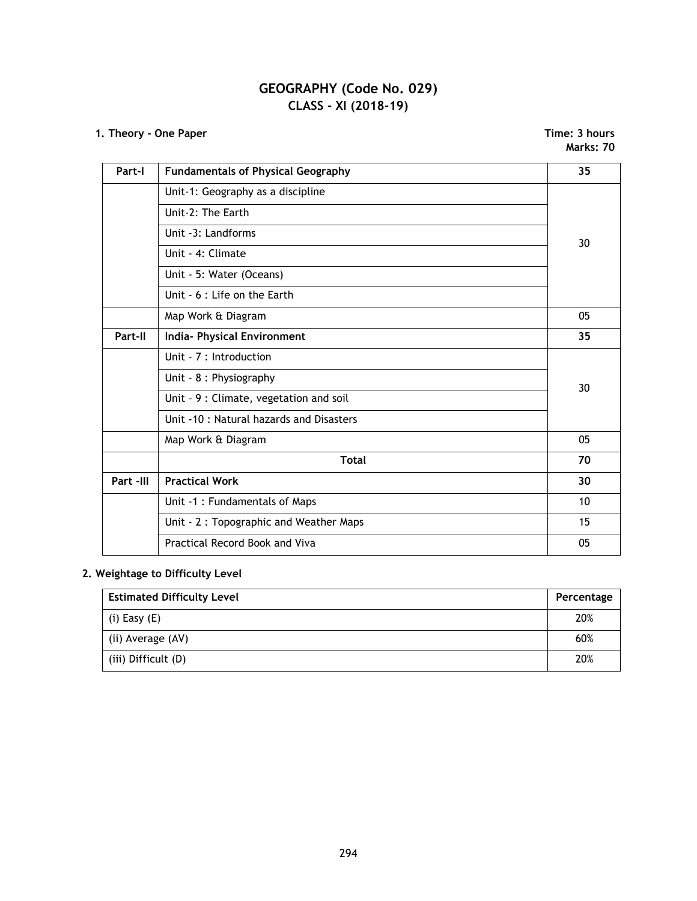# **GEOGRAPHY (Code No. 029) CLASS - XI (2018-19)**

# **1. Theory - One Paper Time: 3 hours**

**Marks: 70**

| Part-I    | <b>Fundamentals of Physical Geography</b> | 35 |
|-----------|-------------------------------------------|----|
|           | Unit-1: Geography as a discipline         |    |
|           | Unit-2: The Earth                         |    |
|           | Unit -3: Landforms                        | 30 |
|           | Unit - 4: Climate                         |    |
|           | Unit - 5: Water (Oceans)                  |    |
|           | Unit - 6 : Life on the Earth              |    |
|           | Map Work & Diagram                        | 05 |
| Part-II   | <b>India- Physical Environment</b>        | 35 |
|           | Unit - 7 : Introduction                   |    |
|           | Unit - 8 : Physiography                   | 30 |
|           | Unit - 9 : Climate, vegetation and soil   |    |
|           | Unit -10 : Natural hazards and Disasters  |    |
|           | Map Work & Diagram                        | 05 |
|           | <b>Total</b>                              | 70 |
| Part -III | <b>Practical Work</b>                     | 30 |
|           | Unit -1 : Fundamentals of Maps            | 10 |
|           | Unit - 2: Topographic and Weather Maps    | 15 |
|           | Practical Record Book and Viva            | 05 |

# **2. Weightage to Difficulty Level**

| <b>Estimated Difficulty Level</b> |     |  |
|-----------------------------------|-----|--|
| (i) Easy $(E)$                    | 20% |  |
| (ii) Average (AV)                 | 60% |  |
| (iii) Difficult (D)               | 20% |  |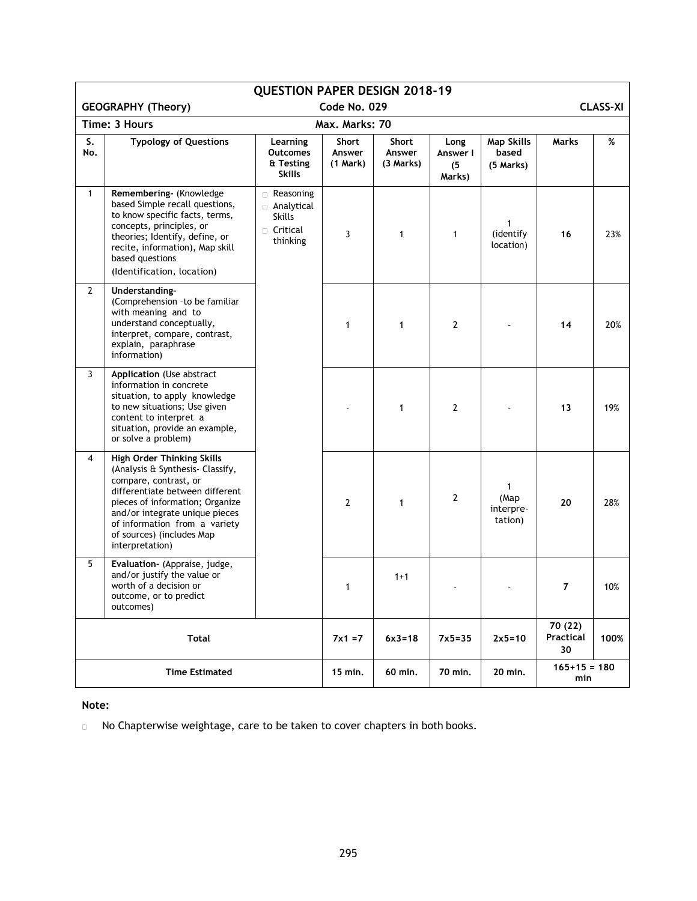| <b>QUESTION PAPER DESIGN 2018-19</b> |                                                                                                                                                                                                                                                                                  |                                                                         |                                    |                              |                                   |                                         |                            |      |
|--------------------------------------|----------------------------------------------------------------------------------------------------------------------------------------------------------------------------------------------------------------------------------------------------------------------------------|-------------------------------------------------------------------------|------------------------------------|------------------------------|-----------------------------------|-----------------------------------------|----------------------------|------|
|                                      | Code No. 029<br><b>CLASS-XI</b><br><b>GEOGRAPHY (Theory)</b>                                                                                                                                                                                                                     |                                                                         |                                    |                              |                                   |                                         |                            |      |
|                                      | Time: 3 Hours                                                                                                                                                                                                                                                                    |                                                                         | Max. Marks: 70                     |                              |                                   |                                         |                            |      |
| S.<br>No.                            | <b>Typology of Questions</b>                                                                                                                                                                                                                                                     | Learning<br><b>Outcomes</b><br>& Testing<br><b>Skills</b>               | <b>Short</b><br>Answer<br>(1 Mark) | Short<br>Answer<br>(3 Marks) | Long<br>Answer I<br>(5)<br>Marks) | <b>Map Skills</b><br>based<br>(5 Marks) | Marks                      | %    |
| $\mathbf{1}$                         | Remembering- (Knowledge<br>based Simple recall questions,<br>to know specific facts, terms,<br>concepts, principles, or<br>theories; Identify, define, or<br>recite, information), Map skill<br>based questions<br>(Identification, location)                                    | Reasoning<br>Analytical<br><b>Skills</b><br>$\Box$ Critical<br>thinking | 3                                  | 1                            | $\mathbf{1}$                      | $\mathbf{1}$<br>(identify<br>location)  | 16                         | 23%  |
| $\mathbf{2}$                         | Understanding-<br>(Comprehension -to be familiar<br>with meaning and to<br>understand conceptually,<br>interpret, compare, contrast,<br>explain, paraphrase<br>information)                                                                                                      |                                                                         | $\mathbf{1}$                       | 1                            | 2                                 |                                         | 14                         | 20%  |
| 3                                    | Application (Use abstract<br>information in concrete<br>situation, to apply knowledge<br>to new situations; Use given<br>content to interpret a<br>situation, provide an example,<br>or solve a problem)                                                                         |                                                                         |                                    | 1                            | $\overline{2}$                    |                                         | 13                         | 19%  |
| 4                                    | High Order Thinking Skills<br>(Analysis & Synthesis- Classify,<br>compare, contrast, or<br>differentiate between different<br>pieces of information; Organize<br>and/or integrate unique pieces<br>of information from a variety<br>of sources) (includes Map<br>interpretation) |                                                                         | $\overline{2}$                     | $\mathbf{1}$                 | $\overline{2}$                    | 1<br>(Map<br>interpre-<br>tation)       | 20                         | 28%  |
| 5                                    | Evaluation- (Appraise, judge,<br>and/or justify the value or<br>worth of a decision or<br>outcome, or to predict<br>outcomes)                                                                                                                                                    |                                                                         | $\mathbf{1}$                       | $1+1$                        |                                   |                                         | $\overline{7}$             | 10%  |
| <b>Total</b>                         |                                                                                                                                                                                                                                                                                  |                                                                         | $7x1 = 7$                          | $6x3 = 18$                   | $7x5 = 35$                        | $2x5=10$                                | 70 (22)<br>Practical<br>30 | 100% |
| <b>Time Estimated</b>                |                                                                                                                                                                                                                                                                                  |                                                                         | 15 min.                            | 60 min.                      | 70 min.                           | 20 min.                                 | $165+15 = 180$<br>min      |      |

**Note:**

No Chapterwise weightage, care to be taken to cover chapters in both books. $\Box$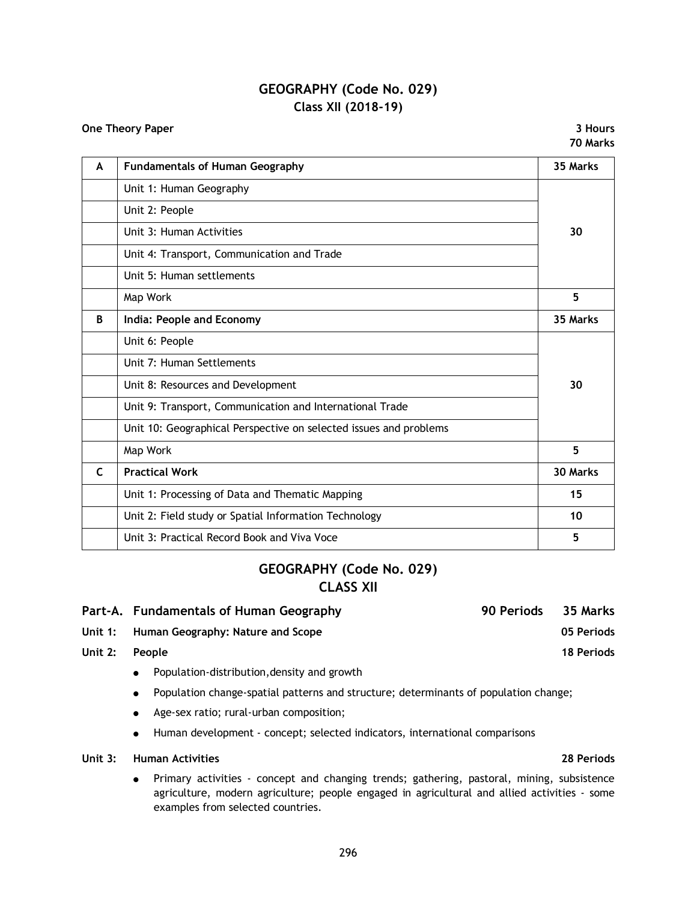# **GEOGRAPHY (Code No. 029) Class XII (2018-19)**

**One Theory Paper 3 Hours 70 Marks**

| A            | <b>Fundamentals of Human Geography</b>                            | 35 Marks |
|--------------|-------------------------------------------------------------------|----------|
|              | Unit 1: Human Geography                                           |          |
|              | Unit 2: People                                                    |          |
|              | Unit 3: Human Activities                                          | 30       |
|              | Unit 4: Transport, Communication and Trade                        |          |
|              | Unit 5: Human settlements                                         |          |
|              | Map Work                                                          | 5        |
| B            | India: People and Economy                                         | 35 Marks |
|              | Unit 6: People                                                    |          |
|              | Unit 7: Human Settlements                                         |          |
|              | Unit 8: Resources and Development                                 | 30       |
|              | Unit 9: Transport, Communication and International Trade          |          |
|              | Unit 10: Geographical Perspective on selected issues and problems |          |
|              | Map Work                                                          | 5        |
| $\mathsf{C}$ | <b>Practical Work</b>                                             | 30 Marks |
|              | Unit 1: Processing of Data and Thematic Mapping                   | 15       |
|              | Unit 2: Field study or Spatial Information Technology             | 10       |
|              | Unit 3: Practical Record Book and Viva Voce                       | 5        |

# **GEOGRAPHY (Code No. 029) CLASS XII**

|                | Part-A. Fundamentals of Human Geography                   | 90 Periods | 35 Marks   |
|----------------|-----------------------------------------------------------|------------|------------|
|                | Unit 1: Human Geography: Nature and Scope                 |            | 05 Periods |
| Unit 2: People |                                                           |            | 18 Periods |
|                | 그는 그 사람들은 그 사람들을 지나 않고 있다. 이 사람들은 그 사람들은 그 사람들을 지나 않고 있다. |            |            |

- Population-distribution, density and growth
- Population change-spatial patterns and structure; determinants of population change;
- Age-sex ratio; rural-urban composition;
- Human development concept; selected indicators, international comparisons

## **Unit 3: Human Activities 28 Periods**

 Primary activities - concept and changing trends; gathering, pastoral, mining, subsistence agriculture, modern agriculture; people engaged in agricultural and allied activities - some examples from selected countries.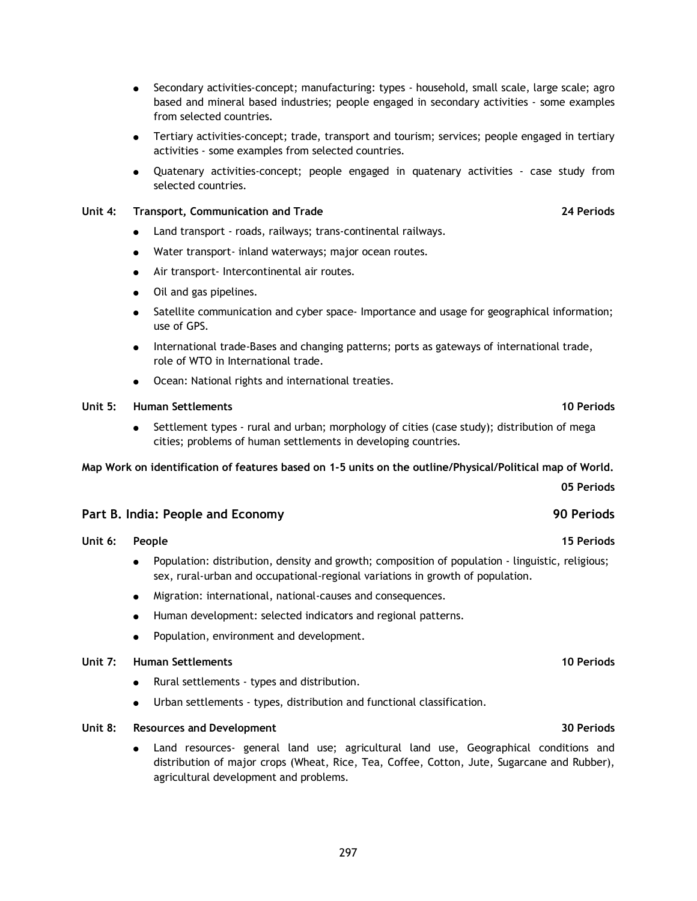- Secondary activities-concept; manufacturing: types household, small scale, large scale; agro based and mineral based industries; people engaged in secondary activities - some examples from selected countries.
- Tertiary activities-concept; trade, transport and tourism; services; people engaged in tertiary activities - some examples from selected countries.
- Quatenary activities-concept; people engaged in quatenary activities case study from selected countries.

### **Unit 4: Transport, Communication and Trade 24 Periods**

- Land transport roads, railways; trans-continental railways.
- Water transport- inland waterways; major ocean routes.
- Air transport- Intercontinental air routes.
- Oil and gas pipelines.
- Satellite communication and cyber space- Importance and usage for geographical information; use of GPS.
- International trade-Bases and changing patterns; ports as gateways of international trade, role of WTO in International trade.
- Ocean: National rights and international treaties.

### **Unit 5: Human Settlements 10 Periods**

 Settlement types - rural and urban; morphology of cities (case study); distribution of mega cities; problems of human settlements in developing countries.

### **Map Work on identification of features based on 1-5 units on the outline/Physical/Political map of World.**

**Part B. India: People and Economy 90 Periods**

- **Unit 6: People 15 Periods** Population: distribution, density and growth; composition of population - linguistic, religious; sex, rural-urban and occupational-regional variations in growth of population.
	- Migration: international, national-causes and consequences.
	- Human development: selected indicators and regional patterns.
	- Population, environment and development.

### **Unit 7: Human Settlements 10 Periods**

- Rural settlements types and distribution.
- Urban settlements types, distribution and functional classification.

### **Unit 8: Resources and Development 30 Periods**

 Land resources- general land use; agricultural land use, Geographical conditions and distribution of major crops (Wheat, Rice, Tea, Coffee, Cotton, Jute, Sugarcane and Rubber), agricultural development and problems.

**05 Periods**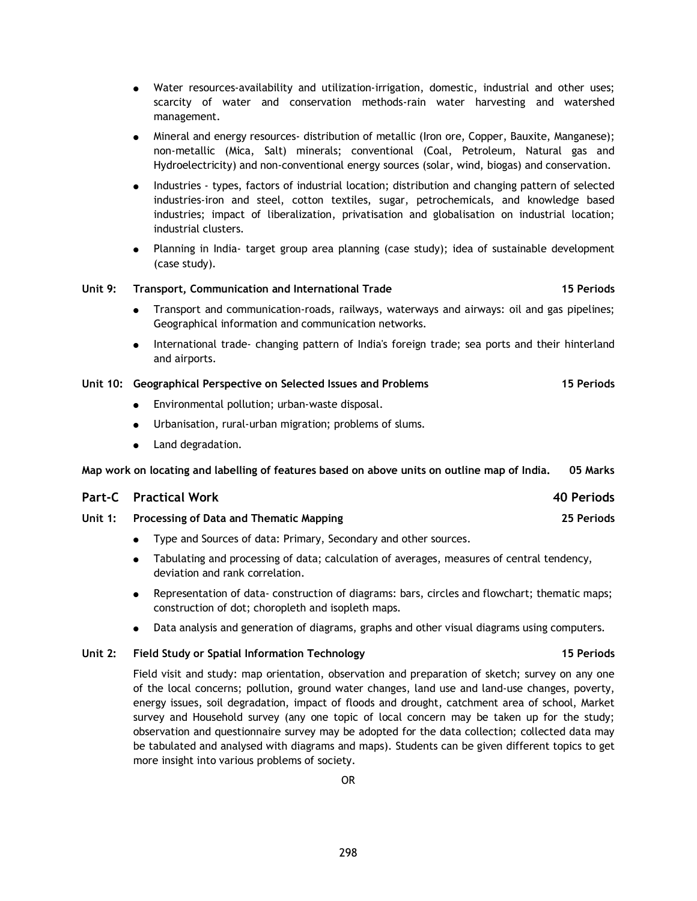- Water resources-availability and utilization-irrigation, domestic, industrial and other uses; scarcity of water and conservation methods-rain water harvesting and watershed management.
- Mineral and energy resources- distribution of metallic (Iron ore, Copper, Bauxite, Manganese); non-metallic (Mica, Salt) minerals; conventional (Coal, Petroleum, Natural gas and Hydroelectricity) and non-conventional energy sources (solar, wind, biogas) and conservation.
- Industries types, factors of industrial location; distribution and changing pattern of selected industries-iron and steel, cotton textiles, sugar, petrochemicals, and knowledge based industries; impact of liberalization, privatisation and globalisation on industrial location; industrial clusters.
- Planning in India- target group area planning (case study); idea of sustainable development (case study).

### **Unit 9: Transport, Communication and International Trade 15 Periods**

- Transport and communication-roads, railways, waterways and airways: oil and gas pipelines; Geographical information and communication networks.
- International trade- changing pattern of India's foreign trade; sea ports and their hinterland and airports.

#### **Unit 10: Geographical Perspective on Selected Issues and Problems 15 Periods**

- Environmental pollution; urban-waste disposal.
- Urbanisation, rural-urban migration; problems of slums.
- Land degradation.

**Map work on locating and labelling of features based on above units on outline map of India. 05 Marks**

| <b>Part-C</b> Practical Work                    | 40 Periods |
|-------------------------------------------------|------------|
| Unit 1: Processing of Data and Thematic Mapping | 25 Periods |

- Type and Sources of data: Primary, Secondary and other sources.
- Tabulating and processing of data; calculation of averages, measures of central tendency, deviation and rank correlation.
- Representation of data- construction of diagrams: bars, circles and flowchart; thematic maps; construction of dot; choropleth and isopleth maps.
- Data analysis and generation of diagrams, graphs and other visual diagrams using computers.

### **Unit 2: Field Study or Spatial Information Technology 15 Periods**

## Field visit and study: map orientation, observation and preparation of sketch; survey on any one of the local concerns; pollution, ground water changes, land use and land-use changes, poverty, energy issues, soil degradation, impact of floods and drought, catchment area of school, Market survey and Household survey (any one topic of local concern may be taken up for the study; observation and questionnaire survey may be adopted for the data collection; collected data may be tabulated and analysed with diagrams and maps). Students can be given different topics to get more insight into various problems of society.

298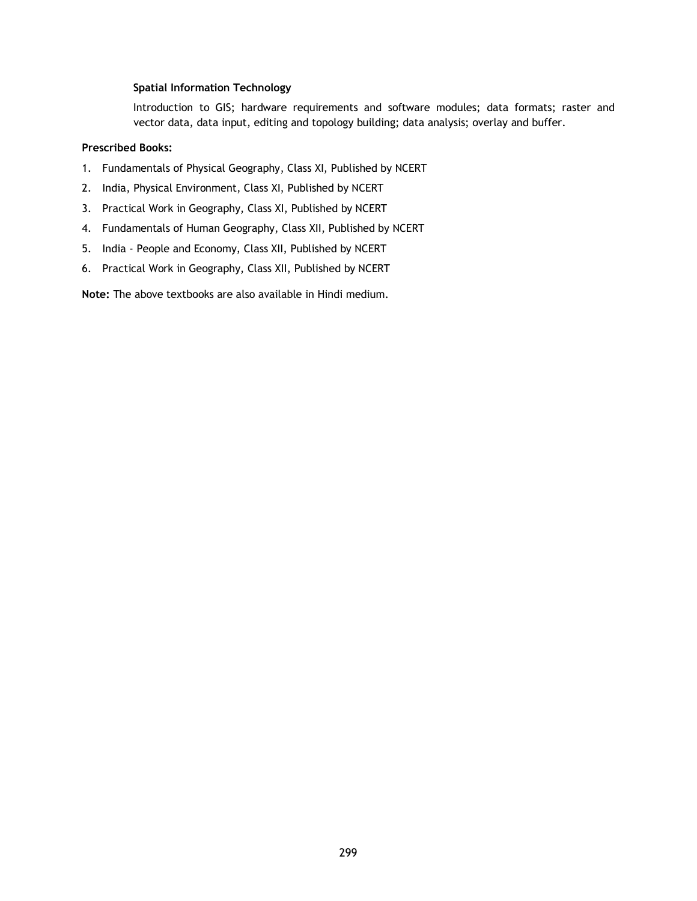### **Spatial Information Technology**

Introduction to GIS; hardware requirements and software modules; data formats; raster and vector data, data input, editing and topology building; data analysis; overlay and buffer.

## **Prescribed Books:**

- 1. Fundamentals of Physical Geography, Class XI, Published by NCERT
- 2. India, Physical Environment, Class XI, Published by NCERT
- 3. Practical Work in Geography, Class XI, Published by NCERT
- 4. Fundamentals of Human Geography, Class XII, Published by NCERT
- 5. India People and Economy, Class XII, Published by NCERT
- 6. Practical Work in Geography, Class XII, Published by NCERT

**Note:** The above textbooks are also available in Hindi medium.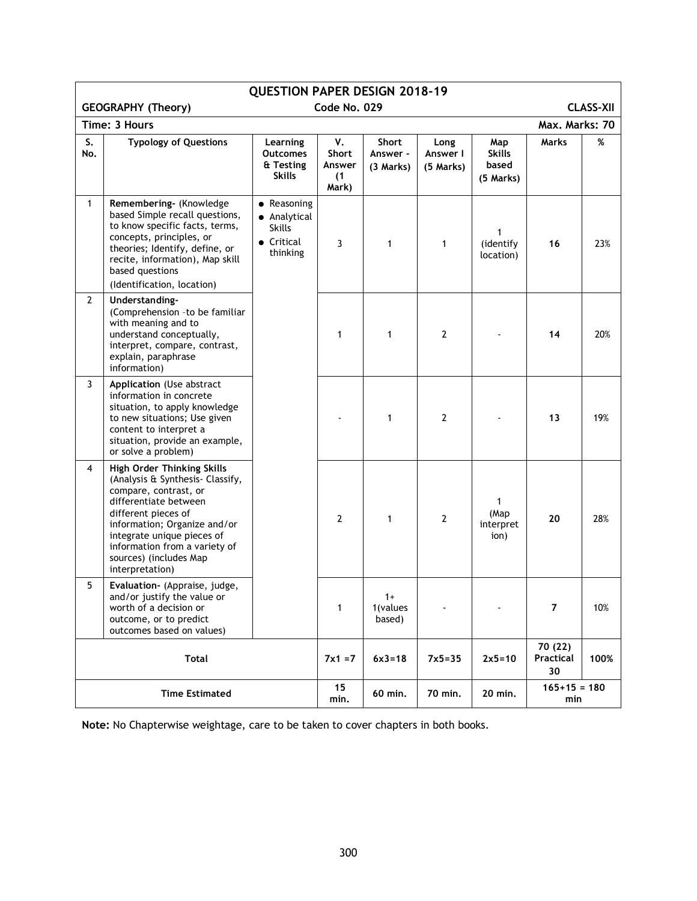| <b>QUESTION PAPER DESIGN 2018-19</b>                          |                                                                                                                                                                                                                                                                                            |                                                                        |                                              |                                |                               |                                            |                            |      |
|---------------------------------------------------------------|--------------------------------------------------------------------------------------------------------------------------------------------------------------------------------------------------------------------------------------------------------------------------------------------|------------------------------------------------------------------------|----------------------------------------------|--------------------------------|-------------------------------|--------------------------------------------|----------------------------|------|
| <b>GEOGRAPHY (Theory)</b><br>Code No. 029<br><b>CLASS-XII</b> |                                                                                                                                                                                                                                                                                            |                                                                        |                                              |                                |                               |                                            |                            |      |
| Time: 3 Hours                                                 |                                                                                                                                                                                                                                                                                            |                                                                        |                                              |                                | Max. Marks: 70                |                                            |                            |      |
| S.<br>No.                                                     | <b>Typology of Questions</b>                                                                                                                                                                                                                                                               | Learning<br><b>Outcomes</b><br>& Testing<br><b>Skills</b>              | v.<br><b>Short</b><br>Answer<br>(1)<br>Mark) | Short<br>Answer -<br>(3 Marks) | Long<br>Answer I<br>(5 Marks) | Map<br><b>Skills</b><br>based<br>(5 Marks) | <b>Marks</b>               | %    |
| $\mathbf{1}$                                                  | Remembering- (Knowledge<br>based Simple recall questions,<br>to know specific facts, terms,<br>concepts, principles, or<br>theories; Identify, define, or<br>recite, information), Map skill<br>based questions<br>(Identification, location)                                              | • Reasoning<br>• Analytical<br><b>Skills</b><br>• Critical<br>thinking | 3                                            | 1                              | 1                             | (identify<br>location)                     | 16                         | 23%  |
| $\mathbf{2}$                                                  | Understanding-<br>(Comprehension - to be familiar<br>with meaning and to<br>understand conceptually,<br>interpret, compare, contrast,<br>explain, paraphrase<br>information)                                                                                                               |                                                                        | 1                                            | 1                              | $\mathbf{2}$                  |                                            | 14                         | 20%  |
| 3                                                             | Application (Use abstract<br>information in concrete<br>situation, to apply knowledge<br>to new situations; Use given<br>content to interpret a<br>situation, provide an example,<br>or solve a problem)                                                                                   |                                                                        |                                              | 1                              | 2                             |                                            | 13                         | 19%  |
| 4                                                             | <b>High Order Thinking Skills</b><br>(Analysis & Synthesis- Classify,<br>compare, contrast, or<br>differentiate between<br>different pieces of<br>information; Organize and/or<br>integrate unique pieces of<br>information from a variety of<br>sources) (includes Map<br>interpretation) |                                                                        | 2                                            | 1                              | 2                             | 1<br>(Map<br>interpret<br>ion)             | 20                         | 28%  |
| 5                                                             | Evaluation- (Appraise, judge,<br>and/or justify the value or<br>worth of a decision or<br>outcome, or to predict<br>outcomes based on values)                                                                                                                                              |                                                                        | 1                                            | $1+$<br>1(values<br>based)     |                               |                                            | $\overline{7}$             | 10%  |
| <b>Total</b>                                                  |                                                                                                                                                                                                                                                                                            |                                                                        | $7x1 = 7$                                    | $6x3 = 18$                     | $7x5 = 35$                    | $2x5 = 10$                                 | 70 (22)<br>Practical<br>30 | 100% |
|                                                               | <b>Time Estimated</b>                                                                                                                                                                                                                                                                      |                                                                        |                                              | 60 min.                        | 70 min.                       | 20 min.                                    | $165+15 = 180$<br>min      |      |

**Note:** No Chapterwise weightage, care to be taken to cover chapters in both books.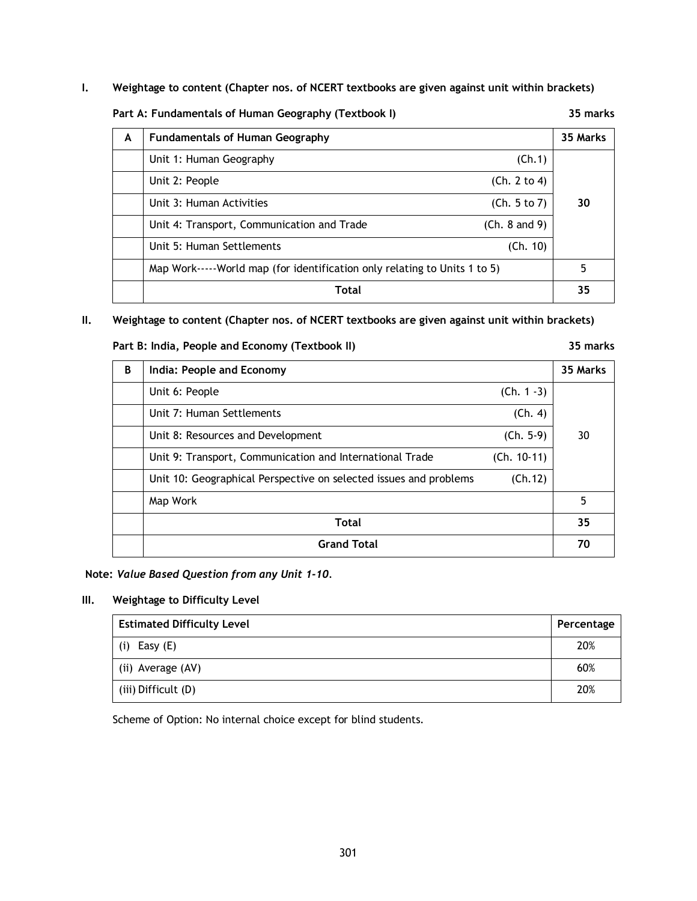**I. Weightage to content (Chapter nos. of NCERT textbooks are given against unit within brackets)**

**Part A: Fundamentals of Human Geography (Textbook I) 35 marks**

| A | <b>Fundamentals of Human Geography</b>                                    | 35 Marks |  |
|---|---------------------------------------------------------------------------|----------|--|
|   | Unit 1: Human Geography<br>(Ch.1)                                         |          |  |
|   | (Ch. 2 to 4)<br>Unit 2: People                                            |          |  |
|   | (Ch. 5 to 7)<br>Unit 3: Human Activities                                  | 30       |  |
|   | (Ch. 8 and 9)<br>Unit 4: Transport, Communication and Trade               |          |  |
|   | Unit 5: Human Settlements<br>(Ch. 10)                                     |          |  |
|   | Map Work-----World map (for identification only relating to Units 1 to 5) |          |  |
|   | Total                                                                     | 35       |  |

## **II. Weightage to content (Chapter nos. of NCERT textbooks are given against unit within brackets)**

### **Part B: India, People and Economy (Textbook II) 35 marks**

| B | India: People and Economy                                         |               | 35 Marks |
|---|-------------------------------------------------------------------|---------------|----------|
|   | Unit 6: People                                                    | $(Ch. 1 - 3)$ |          |
|   | Unit 7: Human Settlements                                         | (Ch. 4)       |          |
|   | Unit 8: Resources and Development                                 | $(Ch. 5-9)$   | 30       |
|   | Unit 9: Transport, Communication and International Trade          | $(Ch. 10-11)$ |          |
|   | Unit 10: Geographical Perspective on selected issues and problems | (Ch.12)       |          |
|   | Map Work                                                          |               | 5        |
|   | <b>Total</b>                                                      |               | 35       |
|   | <b>Grand Total</b>                                                |               | 70       |

## **Note:** *Value Based Question from any Unit 1-10.*

## **III. Weightage to Difficulty Level**

| <b>Estimated Difficulty Level</b> |     |
|-----------------------------------|-----|
| Easy (E)<br>(i)                   | 20% |
| (ii) Average (AV)                 | 60% |
| (iii) Difficult (D)               | 20% |

Scheme of Option: No internal choice except for blind students.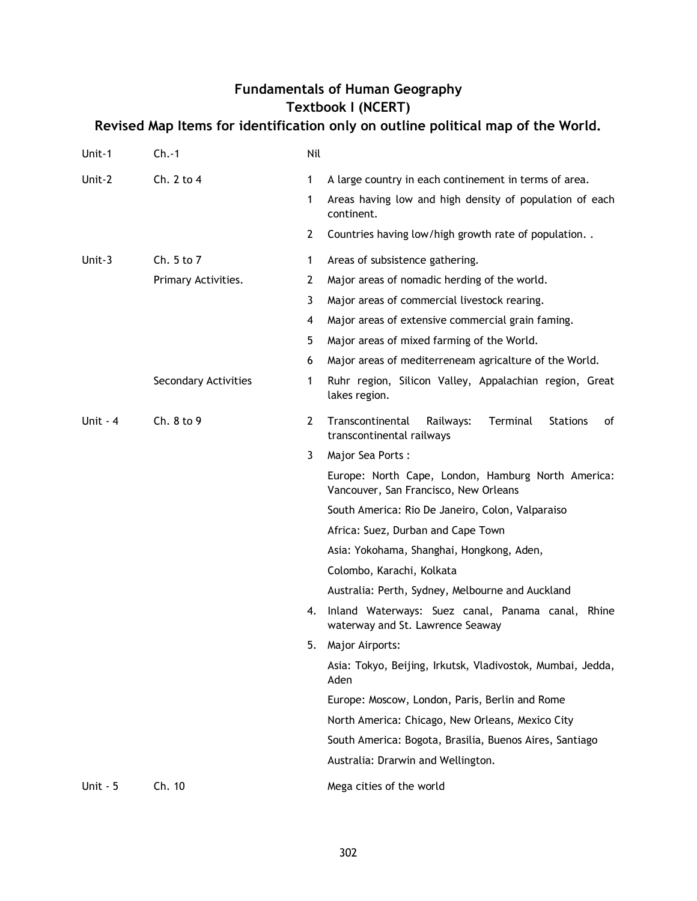# **Fundamentals of Human Geography Textbook I (NCERT)**

# **Revised Map Items for identification only on outline political map of the World.**

| Unit-1    | $Ch.-1$              | Nil            |                                                                                                 |
|-----------|----------------------|----------------|-------------------------------------------------------------------------------------------------|
| Unit-2    | Ch. 2 to 4           | 1              | A large country in each continement in terms of area.                                           |
|           |                      | 1              | Areas having low and high density of population of each<br>continent.                           |
|           |                      | $\overline{2}$ | Countries having low/high growth rate of population                                             |
| Unit-3    | Ch. 5 to 7           | $\mathbf{1}$   | Areas of subsistence gathering.                                                                 |
|           | Primary Activities.  | 2              | Major areas of nomadic herding of the world.                                                    |
|           |                      | 3              | Major areas of commercial livestock rearing.                                                    |
|           |                      | 4              | Major areas of extensive commercial grain faming.                                               |
|           |                      | 5              | Major areas of mixed farming of the World.                                                      |
|           |                      | 6              | Major areas of mediterreneam agricalture of the World.                                          |
|           | Secondary Activities | 1              | Ruhr region, Silicon Valley, Appalachian region, Great<br>lakes region.                         |
| Unit $-4$ | Ch. 8 to 9           | $\overline{2}$ | Terminal<br>Transcontinental<br>Railways:<br><b>Stations</b><br>οf<br>transcontinental railways |
|           |                      | 3              | Major Sea Ports:                                                                                |
|           |                      |                | Europe: North Cape, London, Hamburg North America:<br>Vancouver, San Francisco, New Orleans     |
|           |                      |                | South America: Rio De Janeiro, Colon, Valparaiso                                                |
|           |                      |                | Africa: Suez, Durban and Cape Town                                                              |
|           |                      |                | Asia: Yokohama, Shanghai, Hongkong, Aden,                                                       |
|           |                      |                | Colombo, Karachi, Kolkata                                                                       |
|           |                      |                | Australia: Perth, Sydney, Melbourne and Auckland                                                |
|           |                      | 4.             | Inland Waterways: Suez canal, Panama canal,<br>Rhine<br>waterway and St. Lawrence Seaway        |
|           |                      | 5.             | Major Airports:                                                                                 |
|           |                      |                | Asia: Tokyo, Beijing, Irkutsk, Vladivostok, Mumbai, Jedda,<br>Aden                              |
|           |                      |                | Europe: Moscow, London, Paris, Berlin and Rome                                                  |
|           |                      |                | North America: Chicago, New Orleans, Mexico City                                                |
|           |                      |                | South America: Bogota, Brasilia, Buenos Aires, Santiago                                         |
|           |                      |                | Australia: Drarwin and Wellington.                                                              |
| Unit $-5$ | Ch. 10               |                | Mega cities of the world                                                                        |